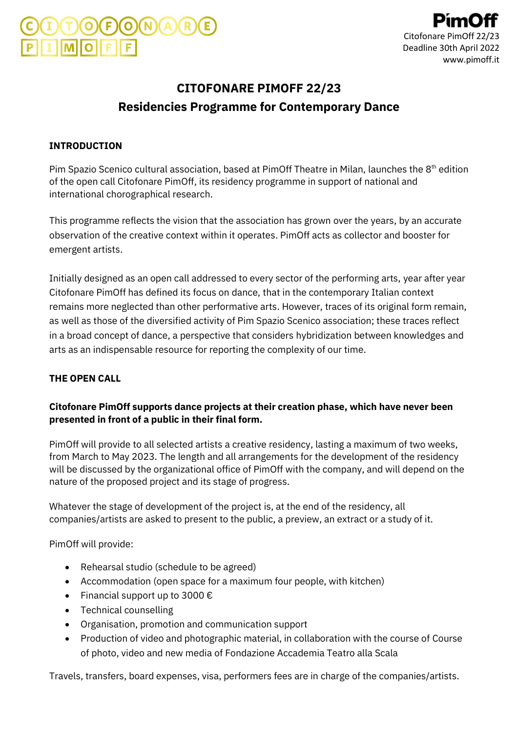# **CITOFONARE PIMOFF 22/23 Residencies Programme for Contemporary Dance**

### **INTRODUCTION**

Pim Spazio Scenico cultural association, based at PimOff Theatre in Milan, launches the 8<sup>th</sup> edition of the open call Citofonare PimOff, its residency programme in support of national and international chorographical research.

This programme reflects the vision that the association has grown over the years, by an accurate observation of the creative context within it operates. PimOff acts as collector and booster for emergent artists.

Initially designed as an open call addressed to every sector of the performing arts, year after year Citofonare PimOff has defined its focus on dance, that in the contemporary Italian context remains more neglected than other performative arts. However, traces of its original form remain, as well as those of the diversified activity of Pim Spazio Scenico association; these traces reflect in a broad concept of dance, a perspective that considers hybridization between knowledges and arts as an indispensable resource for reporting the complexity of our time.

### **THE OPEN CALL**

### **Citofonare PimOff supports dance projects at their creation phase, which have never been presented in front of a public in their final form.**

PimOff will provide to all selected artists a creative residency, lasting a maximum of two weeks, from March to May 2023. The length and all arrangements for the development of the residency will be discussed by the organizational office of PimOff with the company, and will depend on the nature of the proposed project and its stage of progress.

Whatever the stage of development of the project is, at the end of the residency, all companies/artists are asked to present to the public, a preview, an extract or a study of it.

PimOff will provide:

- Rehearsal studio (schedule to be agreed)
- Accommodation (open space for a maximum four people, with kitchen)
- Financial support up to 3000  $\epsilon$
- Technical counselling
- Organisation, promotion and communication support
- Production of video and photographic material, in collaboration with the course of Course of photo, video and new media of Fondazione Accademia Teatro alla Scala

Travels, transfers, board expenses, visa, performers fees are in charge of the companies/artists.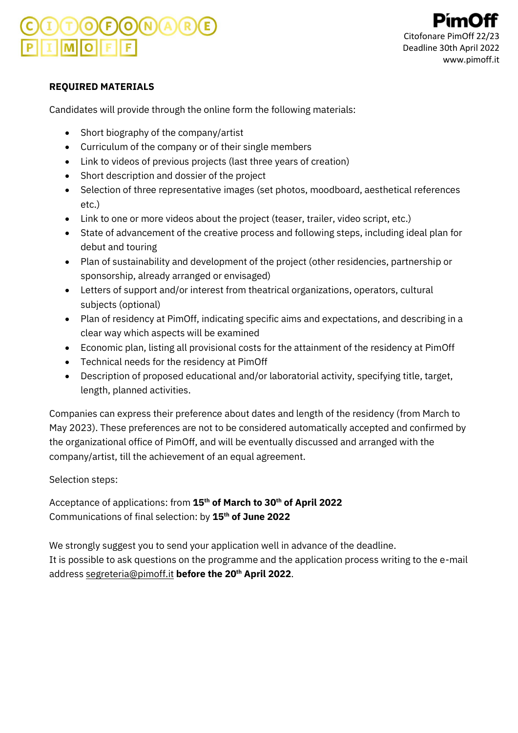Citofonare PimOff 2 Deadline 30th April 2022 www.pimoff.it

### **REQUIRED MATERIALS**

Candidates will provide through the online form the following materials:

- Short biography of the company/artist
- Curriculum of the company or of their single members
- Link to videos of previous projects (last three years of creation)
- Short description and dossier of the project
- Selection of three representative images (set photos, moodboard, aesthetical references etc.)
- Link to one or more videos about the project (teaser, trailer, video script, etc.)
- State of advancement of the creative process and following steps, including ideal plan for debut and touring
- Plan of sustainability and development of the project (other residencies, partnership or sponsorship, already arranged or envisaged)
- Letters of support and/or interest from theatrical organizations, operators, cultural subjects (optional)
- Plan of residency at PimOff, indicating specific aims and expectations, and describing in a clear way which aspects will be examined
- Economic plan, listing all provisional costs for the attainment of the residency at PimOff
- Technical needs for the residency at PimOff
- Description of proposed educational and/or laboratorial activity, specifying title, target, length, planned activities.

Companies can express their preference about dates and length of the residency (from March to May 2023). These preferences are not to be considered automatically accepted and confirmed by the organizational office of PimOff, and will be eventually discussed and arranged with the company/artist, till the achievement of an equal agreement.

Selection steps:

Acceptance of applications: from **15th of March to 30th of April 2022** Communications of final selection: by **15th of June 2022**

We strongly suggest you to send your application well in advance of the deadline. It is possible to ask questions on the programme and the application process writing to the e-mail addres[s segreteria@pimoff.it](mailto:segreteria@pimoff.it) **before the 20th April 2022**.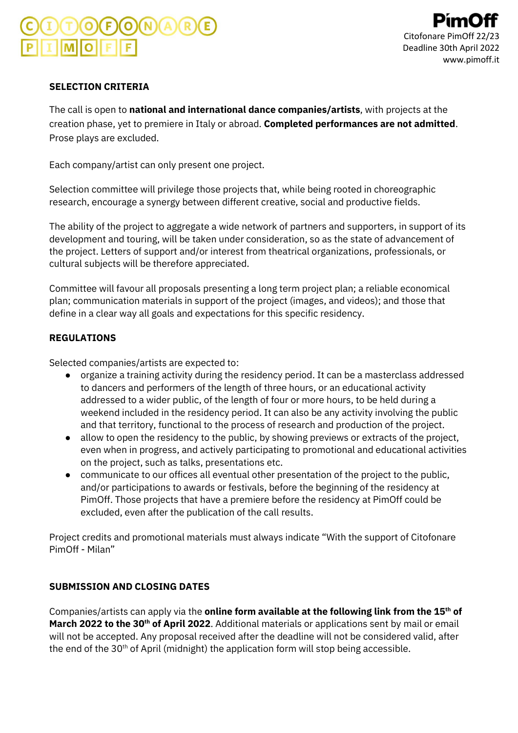### **SELECTION CRITERIA**

The call is open to **national and international dance companies/artists**, with projects at the creation phase, yet to premiere in Italy or abroad. **Completed performances are not admitted**. Prose plays are excluded.

Each company/artist can only present one project.

Selection committee will privilege those projects that, while being rooted in choreographic research, encourage a synergy between different creative, social and productive fields.

The ability of the project to aggregate a wide network of partners and supporters, in support of its development and touring, will be taken under consideration, so as the state of advancement of the project. Letters of support and/or interest from theatrical organizations, professionals, or cultural subjects will be therefore appreciated.

Committee will favour all proposals presenting a long term project plan; a reliable economical plan; communication materials in support of the project (images, and videos); and those that define in a clear way all goals and expectations for this specific residency.

### **REGULATIONS**

Selected companies/artists are expected to:

- organize a training activity during the residency period. It can be a masterclass addressed to dancers and performers of the length of three hours, or an educational activity addressed to a wider public, of the length of four or more hours, to be held during a weekend included in the residency period. It can also be any activity involving the public and that territory, functional to the process of research and production of the project.
- allow to open the residency to the public, by showing previews or extracts of the project, even when in progress, and actively participating to promotional and educational activities on the project, such as talks, presentations etc.
- communicate to our offices all eventual other presentation of the project to the public, and/or participations to awards or festivals, before the beginning of the residency at PimOff. Those projects that have a premiere before the residency at PimOff could be excluded, even after the publication of the call results.

Project credits and promotional materials must always indicate "With the support of Citofonare PimOff - Milan"

### **SUBMISSION AND CLOSING DATES**

Companies/artists can apply via the **online form available at the following link from the 15th of March 2022 to the 30th of April 2022**. Additional materials or applications sent by mail or email will not be accepted. Any proposal received after the deadline will not be considered valid, after the end of the 30th of April (midnight) the application form will stop being accessible.